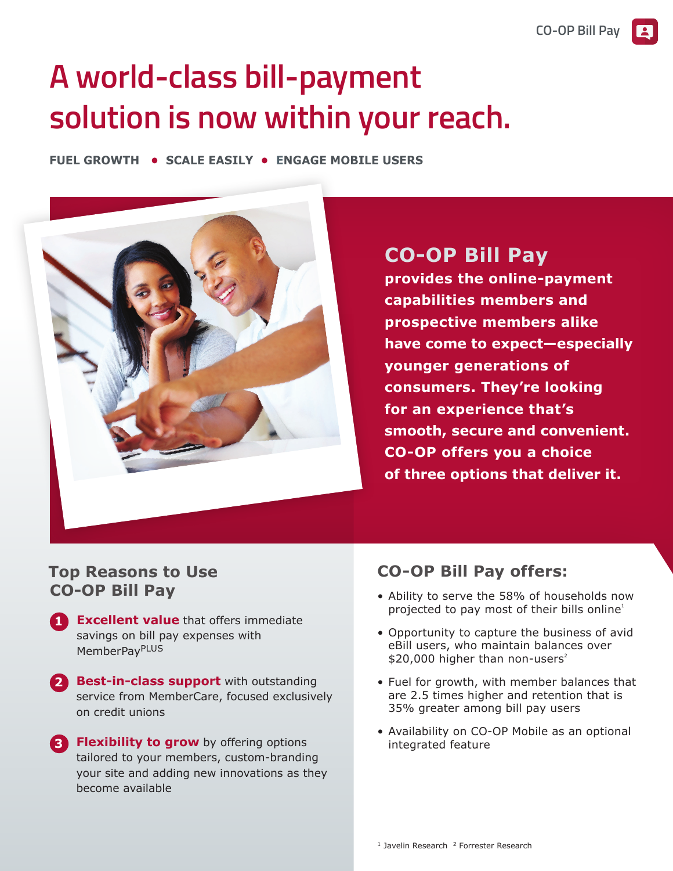# **A world-class bill-payment solution is now within your reach.**

**FUEL GROWTH • SCALE EASILY • ENGAGE MOBILE USERS**



# **CO-OP Bill Pay**

**provides the online-payment capabilities members and prospective members alike have come to expect—especially younger generations of consumers. They're looking for an experience that's smooth, secure and convenient. CO-OP offers you a choice of three options that deliver it.**

### **Top Reasons to Use CO-OP Bill Pay**

- **1 Excellent value** that offers immediate savings on bill pay expenses with MemberPayPLUS
- **2 Best-in-class support** with outstanding service from MemberCare, focused exclusively on credit unions
- **3 Flexibility to grow** by offering options tailored to your members, custom-branding your site and adding new innovations as they become available

## **CO-OP Bill Pay offers:**

- Ability to serve the 58% of households now projected to pay most of their bills online<sup>1</sup>
- Opportunity to capture the business of avid eBill users, who maintain balances over  $$20,000$  higher than non-users<sup>2</sup>
- Fuel for growth, with member balances that are 2.5 times higher and retention that is 35% greater among bill pay users
- Availability on CO-OP Mobile as an optional integrated feature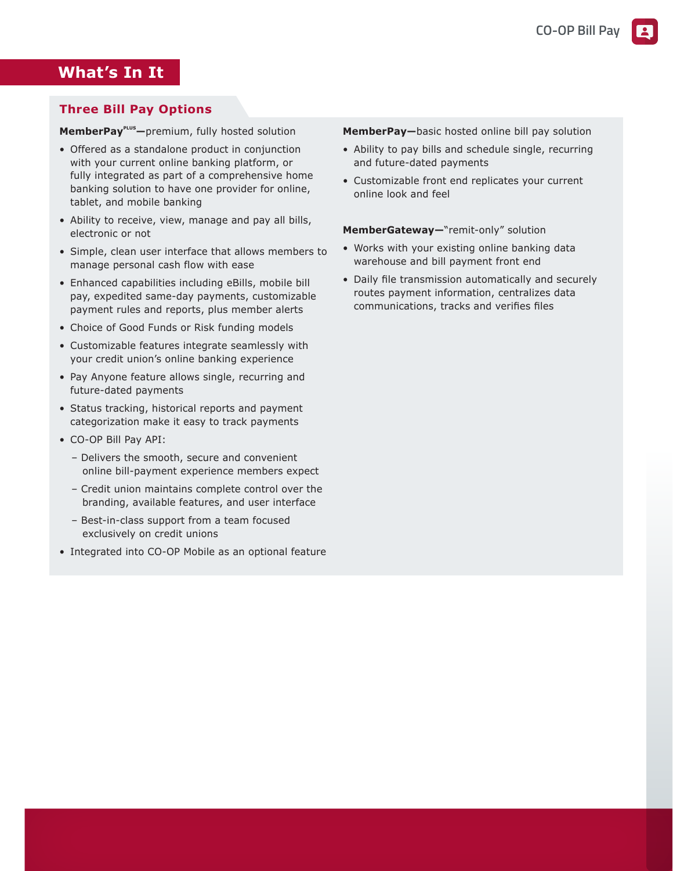#### **What's In It**

#### **Three Bill Pay Options**

**MemberPayPLUS —**premium, fully hosted solution

- Offered as a standalone product in conjunction with your current online banking platform, or fully integrated as part of a comprehensive home banking solution to have one provider for online, tablet, and mobile banking
- Ability to receive, view, manage and pay all bills, electronic or not
- Simple, clean user interface that allows members to manage personal cash flow with ease
- Enhanced capabilities including eBills, mobile bill pay, expedited same-day payments, customizable payment rules and reports, plus member alerts
- Choice of Good Funds or Risk funding models
- Customizable features integrate seamlessly with your credit union's online banking experience
- Pay Anyone feature allows single, recurring and future-dated payments
- Status tracking, historical reports and payment categorization make it easy to track payments
- CO-OP Bill Pay API:
	- Delivers the smooth, secure and convenient online bill-payment experience members expect
	- Credit union maintains complete control over the branding, available features, and user interface
	- Best-in-class support from a team focused exclusively on credit unions
- Integrated into CO-OP Mobile as an optional feature

**MemberPay—**basic hosted online bill pay solution

- Ability to pay bills and schedule single, recurring and future-dated payments
- Customizable front end replicates your current online look and feel

**MemberGateway—**"remit-only" solution

- Works with your existing online banking data warehouse and bill payment front end
- Daily file transmission automatically and securely routes payment information, centralizes data communications, tracks and verifies files